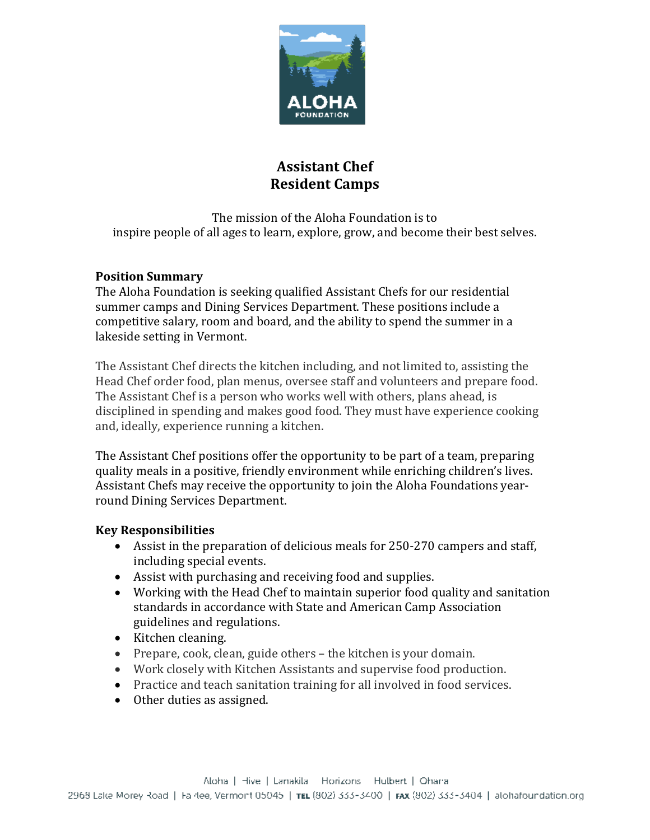

# **Assistant Chef Resident Camps**

The mission of the Aloha Foundation is to inspire people of all ages to learn, explore, grow, and become their best selves.

# **Position Summary**

The Aloha Foundation is seeking qualified Assistant Chefs for our residential summer camps and Dining Services Department. These positions include a competitive salary, room and board, and the ability to spend the summer in a lakeside setting in Vermont.

The Assistant Chef directs the kitchen including, and not limited to, assisting the Head Chef order food, plan menus, oversee staff and volunteers and prepare food. The Assistant Chef is a person who works well with others, plans ahead, is disciplined in spending and makes good food. They must have experience cooking and, ideally, experience running a kitchen.

The Assistant Chef positions offer the opportunity to be part of a team, preparing quality meals in a positive, friendly environment while enriching children's lives. Assistant Chefs may receive the opportunity to join the Aloha Foundations yearround Dining Services Department.

### **Key Responsibilities**

- Assist in the preparation of delicious meals for 250-270 campers and staff, including special events.
- Assist with purchasing and receiving food and supplies.
- Working with the Head Chef to maintain superior food quality and sanitation standards in accordance with State and American Camp Association guidelines and regulations.
- Kitchen cleaning.
- Prepare, cook, clean, guide others the kitchen is your domain.
- Work closely with Kitchen Assistants and supervise food production.
- Practice and teach sanitation training for all involved in food services.
- Other duties as assigned.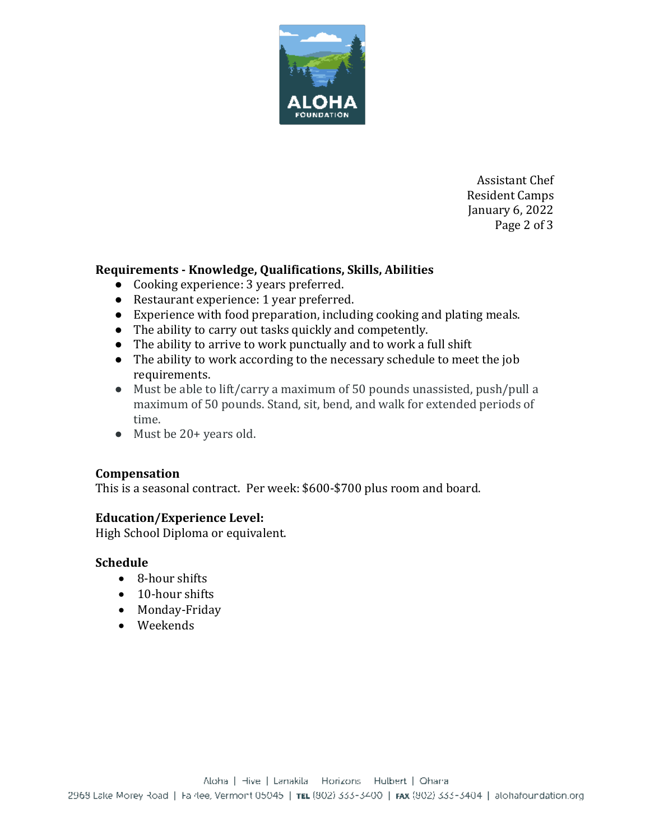

Assistant Chef Resident Camps January 6, 2022 Page 2 of 3

# **Requirements - Knowledge, Qualifications, Skills, Abilities**

- Cooking experience: 3 years preferred.
- Restaurant experience: 1 year preferred.
- Experience with food preparation, including cooking and plating meals.
- The ability to carry out tasks quickly and competently.
- The ability to arrive to work punctually and to work a full shift
- The ability to work according to the necessary schedule to meet the job requirements.
- Must be able to lift/carry a maximum of 50 pounds unassisted, push/pull a maximum of 50 pounds. Stand, sit, bend, and walk for extended periods of time.
- Must be 20+ years old.

### **Compensation**

This is a seasonal contract. Per week: \$600-\$700 plus room and board.

### **Education/Experience Level:**

High School Diploma or equivalent.

### **Schedule**

- 8-hour shifts
- 10-hour shifts
- Monday-Friday
- Weekends